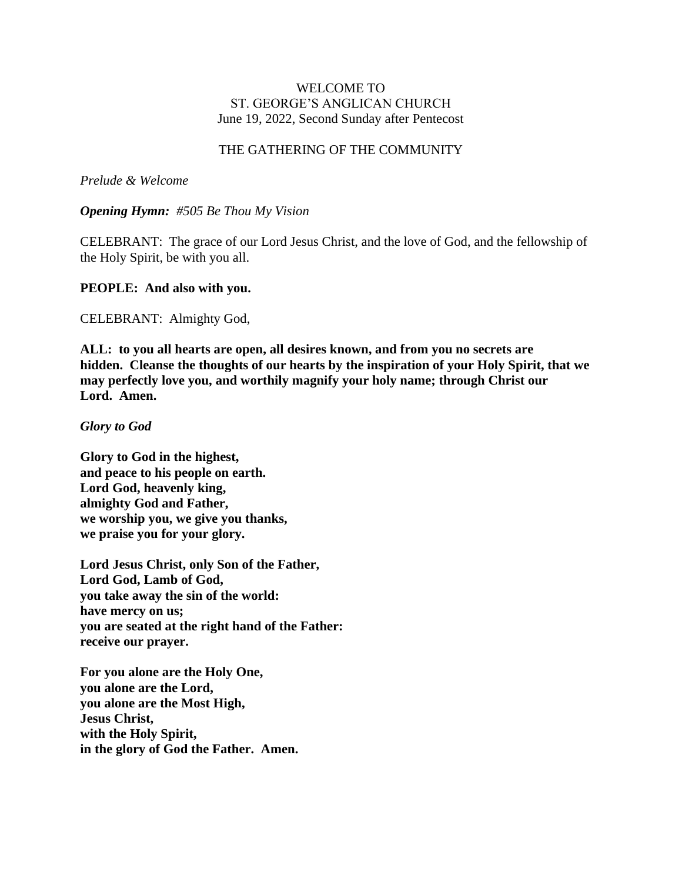## WELCOME TO ST. GEORGE'S ANGLICAN CHURCH June 19, 2022, Second Sunday after Pentecost

## THE GATHERING OF THE COMMUNITY

*Prelude & Welcome*

*Opening Hymn: #505 Be Thou My Vision*

CELEBRANT: The grace of our Lord Jesus Christ, and the love of God, and the fellowship of the Holy Spirit, be with you all.

### **PEOPLE: And also with you.**

CELEBRANT: Almighty God,

**ALL: to you all hearts are open, all desires known, and from you no secrets are hidden. Cleanse the thoughts of our hearts by the inspiration of your Holy Spirit, that we may perfectly love you, and worthily magnify your holy name; through Christ our Lord. Amen.**

*Glory to God*

**Glory to God in the highest, and peace to his people on earth. Lord God, heavenly king, almighty God and Father, we worship you, we give you thanks, we praise you for your glory.**

**Lord Jesus Christ, only Son of the Father, Lord God, Lamb of God, you take away the sin of the world: have mercy on us; you are seated at the right hand of the Father: receive our prayer.**

**For you alone are the Holy One, you alone are the Lord, you alone are the Most High, Jesus Christ, with the Holy Spirit, in the glory of God the Father. Amen.**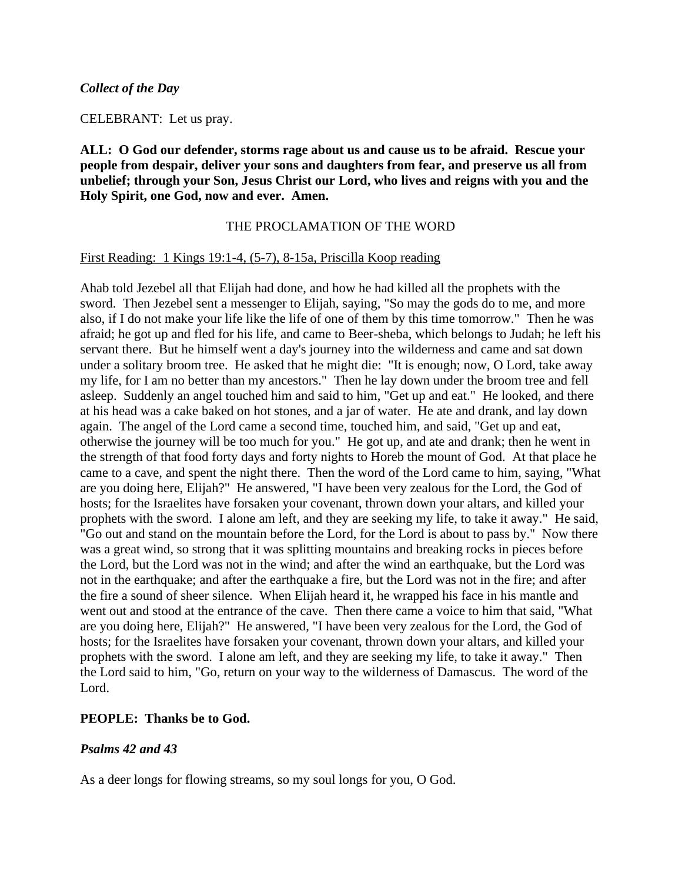#### *Collect of the Day*

CELEBRANT: Let us pray.

## **ALL: O God our defender, storms rage about us and cause us to be afraid. Rescue your people from despair, deliver your sons and daughters from fear, and preserve us all from unbelief; through your Son, Jesus Christ our Lord, who lives and reigns with you and the Holy Spirit, one God, now and ever. Amen.**

### THE PROCLAMATION OF THE WORD

### First Reading: 1 Kings 19:1-4, (5-7), 8-15a, Priscilla Koop reading

Ahab told Jezebel all that Elijah had done, and how he had killed all the prophets with the sword. Then Jezebel sent a messenger to Elijah, saying, "So may the gods do to me, and more also, if I do not make your life like the life of one of them by this time tomorrow." Then he was afraid; he got up and fled for his life, and came to Beer-sheba, which belongs to Judah; he left his servant there. But he himself went a day's journey into the wilderness and came and sat down under a solitary broom tree. He asked that he might die: "It is enough; now, O Lord, take away my life, for I am no better than my ancestors." Then he lay down under the broom tree and fell asleep. Suddenly an angel touched him and said to him, "Get up and eat." He looked, and there at his head was a cake baked on hot stones, and a jar of water. He ate and drank, and lay down again. The angel of the Lord came a second time, touched him, and said, "Get up and eat, otherwise the journey will be too much for you." He got up, and ate and drank; then he went in the strength of that food forty days and forty nights to Horeb the mount of God. At that place he came to a cave, and spent the night there. Then the word of the Lord came to him, saying, "What are you doing here, Elijah?" He answered, "I have been very zealous for the Lord, the God of hosts; for the Israelites have forsaken your covenant, thrown down your altars, and killed your prophets with the sword. I alone am left, and they are seeking my life, to take it away." He said, "Go out and stand on the mountain before the Lord, for the Lord is about to pass by." Now there was a great wind, so strong that it was splitting mountains and breaking rocks in pieces before the Lord, but the Lord was not in the wind; and after the wind an earthquake, but the Lord was not in the earthquake; and after the earthquake a fire, but the Lord was not in the fire; and after the fire a sound of sheer silence. When Elijah heard it, he wrapped his face in his mantle and went out and stood at the entrance of the cave. Then there came a voice to him that said, "What are you doing here, Elijah?" He answered, "I have been very zealous for the Lord, the God of hosts; for the Israelites have forsaken your covenant, thrown down your altars, and killed your prophets with the sword. I alone am left, and they are seeking my life, to take it away." Then the Lord said to him, "Go, return on your way to the wilderness of Damascus. The word of the Lord.

### **PEOPLE: Thanks be to God.**

### *Psalms 42 and 43*

As a deer longs for flowing streams, so my soul longs for you, O God.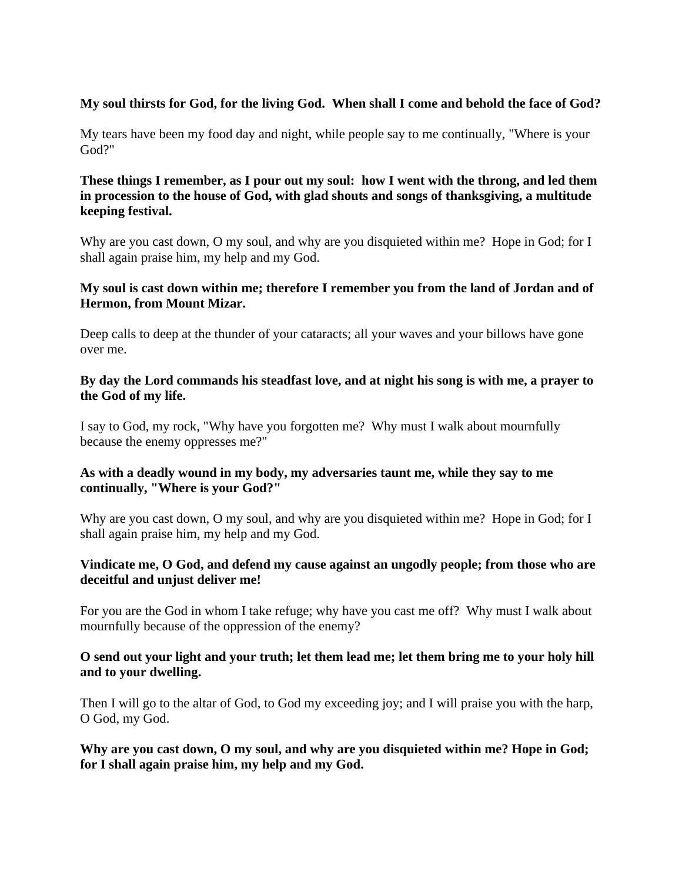## **My soul thirsts for God, for the living God. When shall I come and behold the face of God?**

My tears have been my food day and night, while people say to me continually, "Where is your God?"

# **These things I remember, as I pour out my soul: how I went with the throng, and led them in procession to the house of God, with glad shouts and songs of thanksgiving, a multitude keeping festival.**

Why are you cast down, O my soul, and why are you disquieted within me? Hope in God; for I shall again praise him, my help and my God.

# **My soul is cast down within me; therefore I remember you from the land of Jordan and of Hermon, from Mount Mizar.**

Deep calls to deep at the thunder of your cataracts; all your waves and your billows have gone over me.

## **By day the Lord commands his steadfast love, and at night his song is with me, a prayer to the God of my life.**

I say to God, my rock, "Why have you forgotten me? Why must I walk about mournfully because the enemy oppresses me?"

## **As with a deadly wound in my body, my adversaries taunt me, while they say to me continually, "Where is your God?"**

Why are you cast down, O my soul, and why are you disquieted within me? Hope in God; for I shall again praise him, my help and my God.

## **Vindicate me, O God, and defend my cause against an ungodly people; from those who are deceitful and unjust deliver me!**

For you are the God in whom I take refuge; why have you cast me off? Why must I walk about mournfully because of the oppression of the enemy?

## **O send out your light and your truth; let them lead me; let them bring me to your holy hill and to your dwelling.**

Then I will go to the altar of God, to God my exceeding joy; and I will praise you with the harp, O God, my God.

**Why are you cast down, O my soul, and why are you disquieted within me? Hope in God; for I shall again praise him, my help and my God.**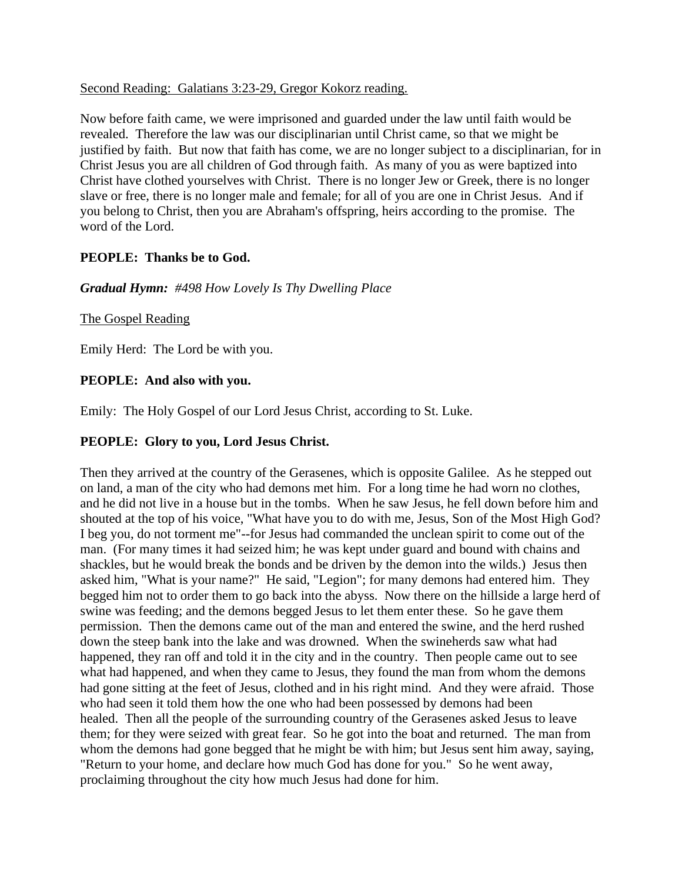Second Reading: Galatians 3:23-29, Gregor Kokorz reading.

Now before faith came, we were imprisoned and guarded under the law until faith would be revealed. Therefore the law was our disciplinarian until Christ came, so that we might be justified by faith. But now that faith has come, we are no longer subject to a disciplinarian, for in Christ Jesus you are all children of God through faith. As many of you as were baptized into Christ have clothed yourselves with Christ. There is no longer Jew or Greek, there is no longer slave or free, there is no longer male and female; for all of you are one in Christ Jesus. And if you belong to Christ, then you are Abraham's offspring, heirs according to the promise. The word of the Lord.

# **PEOPLE: Thanks be to God.**

# *Gradual Hymn: #498 How Lovely Is Thy Dwelling Place*

# The Gospel Reading

Emily Herd: The Lord be with you.

# **PEOPLE: And also with you.**

Emily: The Holy Gospel of our Lord Jesus Christ, according to St. Luke.

# **PEOPLE: Glory to you, Lord Jesus Christ.**

Then they arrived at the country of the Gerasenes, which is opposite Galilee. As he stepped out on land, a man of the city who had demons met him. For a long time he had worn no clothes, and he did not live in a house but in the tombs. When he saw Jesus, he fell down before him and shouted at the top of his voice, "What have you to do with me, Jesus, Son of the Most High God? I beg you, do not torment me"--for Jesus had commanded the unclean spirit to come out of the man. (For many times it had seized him; he was kept under guard and bound with chains and shackles, but he would break the bonds and be driven by the demon into the wilds.) Jesus then asked him, "What is your name?" He said, "Legion"; for many demons had entered him. They begged him not to order them to go back into the abyss. Now there on the hillside a large herd of swine was feeding; and the demons begged Jesus to let them enter these. So he gave them permission. Then the demons came out of the man and entered the swine, and the herd rushed down the steep bank into the lake and was drowned. When the swineherds saw what had happened, they ran off and told it in the city and in the country. Then people came out to see what had happened, and when they came to Jesus, they found the man from whom the demons had gone sitting at the feet of Jesus, clothed and in his right mind. And they were afraid. Those who had seen it told them how the one who had been possessed by demons had been healed. Then all the people of the surrounding country of the Gerasenes asked Jesus to leave them; for they were seized with great fear. So he got into the boat and returned. The man from whom the demons had gone begged that he might be with him; but Jesus sent him away, saying, "Return to your home, and declare how much God has done for you." So he went away, proclaiming throughout the city how much Jesus had done for him.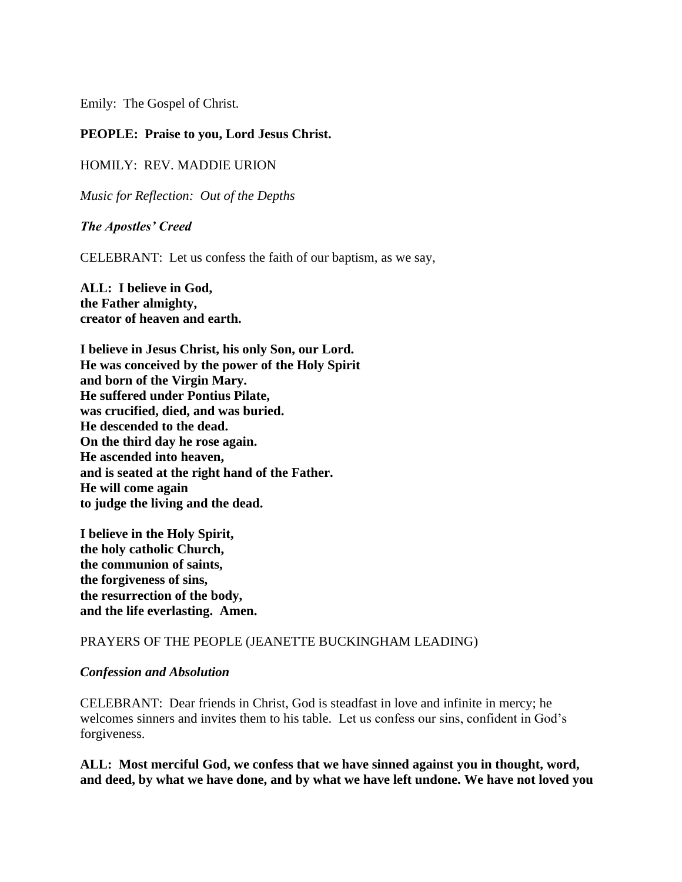Emily: The Gospel of Christ.

### **PEOPLE: Praise to you, Lord Jesus Christ.**

HOMILY: REV. MADDIE URION

*Music for Reflection: Out of the Depths*

*The Apostles' Creed*

CELEBRANT: Let us confess the faith of our baptism, as we say,

**ALL: I believe in God, the Father almighty, creator of heaven and earth.**

**I believe in Jesus Christ, his only Son, our Lord. He was conceived by the power of the Holy Spirit and born of the Virgin Mary. He suffered under Pontius Pilate, was crucified, died, and was buried. He descended to the dead. On the third day he rose again. He ascended into heaven, and is seated at the right hand of the Father. He will come again to judge the living and the dead.**

**I believe in the Holy Spirit, the holy catholic Church, the communion of saints, the forgiveness of sins, the resurrection of the body, and the life everlasting. Amen.**

### PRAYERS OF THE PEOPLE (JEANETTE BUCKINGHAM LEADING)

#### *Confession and Absolution*

CELEBRANT: Dear friends in Christ, God is steadfast in love and infinite in mercy; he welcomes sinners and invites them to his table. Let us confess our sins, confident in God's forgiveness.

**ALL: Most merciful God, we confess that we have sinned against you in thought, word, and deed, by what we have done, and by what we have left undone. We have not loved you**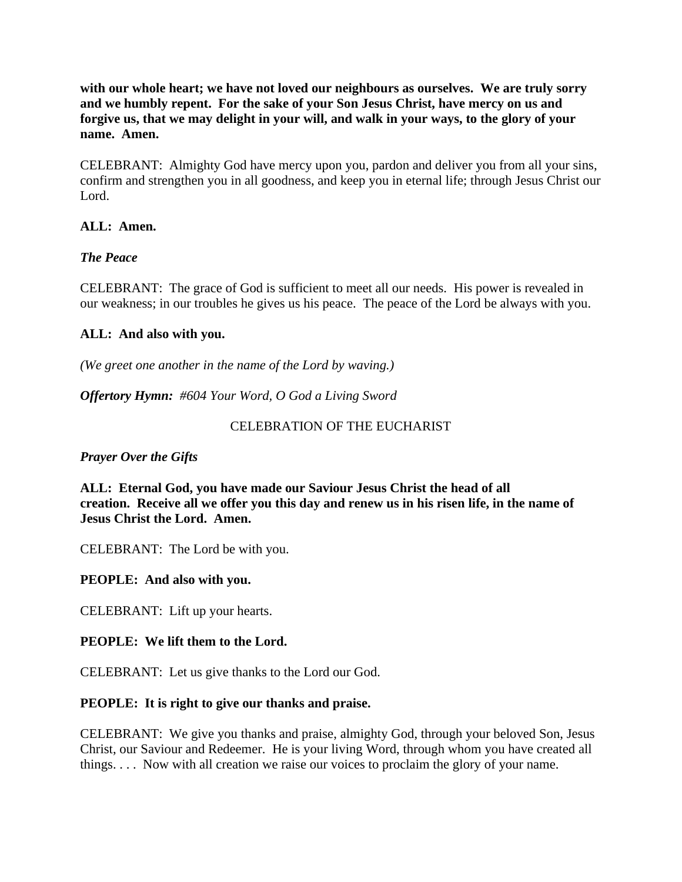**with our whole heart; we have not loved our neighbours as ourselves. We are truly sorry and we humbly repent. For the sake of your Son Jesus Christ, have mercy on us and forgive us, that we may delight in your will, and walk in your ways, to the glory of your name. Amen.**

CELEBRANT: Almighty God have mercy upon you, pardon and deliver you from all your sins, confirm and strengthen you in all goodness, and keep you in eternal life; through Jesus Christ our Lord.

# **ALL: Amen.**

# *The Peace*

CELEBRANT: The grace of God is sufficient to meet all our needs. His power is revealed in our weakness; in our troubles he gives us his peace. The peace of the Lord be always with you.

# **ALL: And also with you.**

*(We greet one another in the name of the Lord by waving.)*

*Offertory Hymn: #604 Your Word, O God a Living Sword*

# CELEBRATION OF THE EUCHARIST

# *Prayer Over the Gifts*

**ALL: Eternal God, you have made our Saviour Jesus Christ the head of all creation. Receive all we offer you this day and renew us in his risen life, in the name of Jesus Christ the Lord. Amen.**

CELEBRANT: The Lord be with you.

# **PEOPLE: And also with you.**

CELEBRANT: Lift up your hearts.

# **PEOPLE: We lift them to the Lord.**

CELEBRANT: Let us give thanks to the Lord our God.

# **PEOPLE: It is right to give our thanks and praise.**

CELEBRANT: We give you thanks and praise, almighty God, through your beloved Son, Jesus Christ, our Saviour and Redeemer. He is your living Word, through whom you have created all things. . . . Now with all creation we raise our voices to proclaim the glory of your name.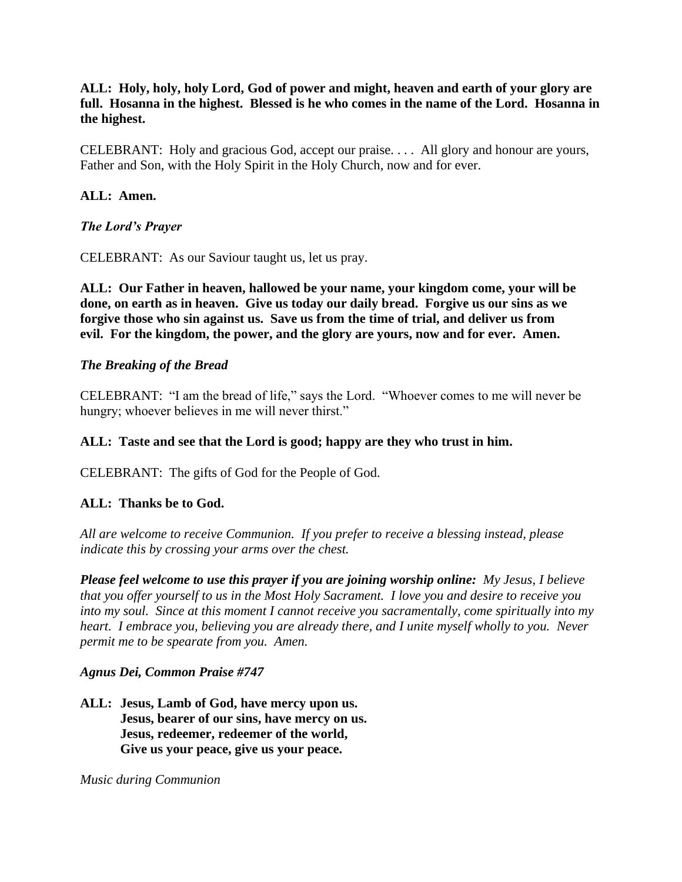## **ALL: Holy, holy, holy Lord, God of power and might, heaven and earth of your glory are full. Hosanna in the highest. Blessed is he who comes in the name of the Lord. Hosanna in the highest.**

CELEBRANT: Holy and gracious God, accept our praise. . . . All glory and honour are yours, Father and Son, with the Holy Spirit in the Holy Church, now and for ever.

# **ALL: Amen.**

## *The Lord's Prayer*

CELEBRANT: As our Saviour taught us, let us pray.

**ALL: Our Father in heaven, hallowed be your name, your kingdom come, your will be done, on earth as in heaven. Give us today our daily bread. Forgive us our sins as we forgive those who sin against us. Save us from the time of trial, and deliver us from evil. For the kingdom, the power, and the glory are yours, now and for ever. Amen.**

## *The Breaking of the Bread*

CELEBRANT: "I am the bread of life," says the Lord. "Whoever comes to me will never be hungry; whoever believes in me will never thirst."

## **ALL: Taste and see that the Lord is good; happy are they who trust in him.**

CELEBRANT: The gifts of God for the People of God.

### **ALL: Thanks be to God.**

*All are welcome to receive Communion. If you prefer to receive a blessing instead, please indicate this by crossing your arms over the chest.*

*Please feel welcome to use this prayer if you are joining worship online: My Jesus, I believe that you offer yourself to us in the Most Holy Sacrament. I love you and desire to receive you into my soul. Since at this moment I cannot receive you sacramentally, come spiritually into my heart. I embrace you, believing you are already there, and I unite myself wholly to you. Never permit me to be spearate from you. Amen.*

### *Agnus Dei, Common Praise #747*

**ALL: Jesus, Lamb of God, have mercy upon us. Jesus, bearer of our sins, have mercy on us. Jesus, redeemer, redeemer of the world, Give us your peace, give us your peace.**

*Music during Communion*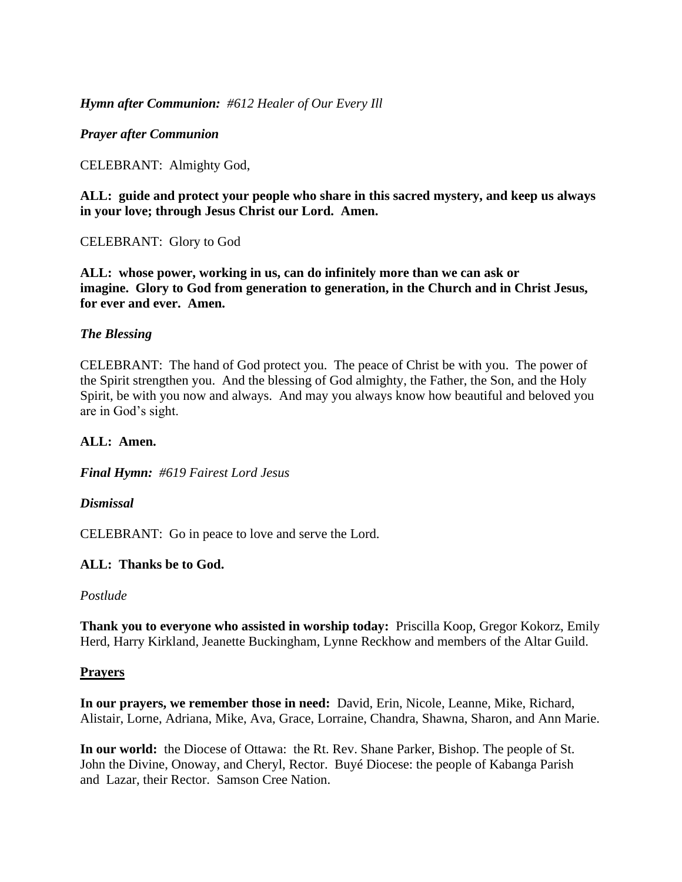*Hymn after Communion: #612 Healer of Our Every Ill*

*Prayer after Communion*

CELEBRANT: Almighty God,

**ALL: guide and protect your people who share in this sacred mystery, and keep us always in your love; through Jesus Christ our Lord. Amen.**

CELEBRANT: Glory to God

**ALL: whose power, working in us, can do infinitely more than we can ask or imagine. Glory to God from generation to generation, in the Church and in Christ Jesus, for ever and ever. Amen.**

## *The Blessing*

CELEBRANT: The hand of God protect you. The peace of Christ be with you. The power of the Spirit strengthen you. And the blessing of God almighty, the Father, the Son, and the Holy Spirit, be with you now and always. And may you always know how beautiful and beloved you are in God's sight.

## **ALL: Amen.**

*Final Hymn: #619 Fairest Lord Jesus*

### *Dismissal*

CELEBRANT: Go in peace to love and serve the Lord.

### **ALL: Thanks be to God.**

### *Postlude*

**Thank you to everyone who assisted in worship today:** Priscilla Koop, Gregor Kokorz, Emily Herd, Harry Kirkland, Jeanette Buckingham, Lynne Reckhow and members of the Altar Guild.

### **Prayers**

**In our prayers, we remember those in need:** David, Erin, Nicole, Leanne, Mike, Richard, Alistair, Lorne, Adriana, Mike, Ava, Grace, Lorraine, Chandra, Shawna, Sharon, and Ann Marie.

**In our world:** the Diocese of Ottawa: the Rt. Rev. Shane Parker, Bishop. The people of St. John the Divine, Onoway, and Cheryl, Rector. Buyé Diocese: the people of Kabanga Parish and Lazar, their Rector. Samson Cree Nation.